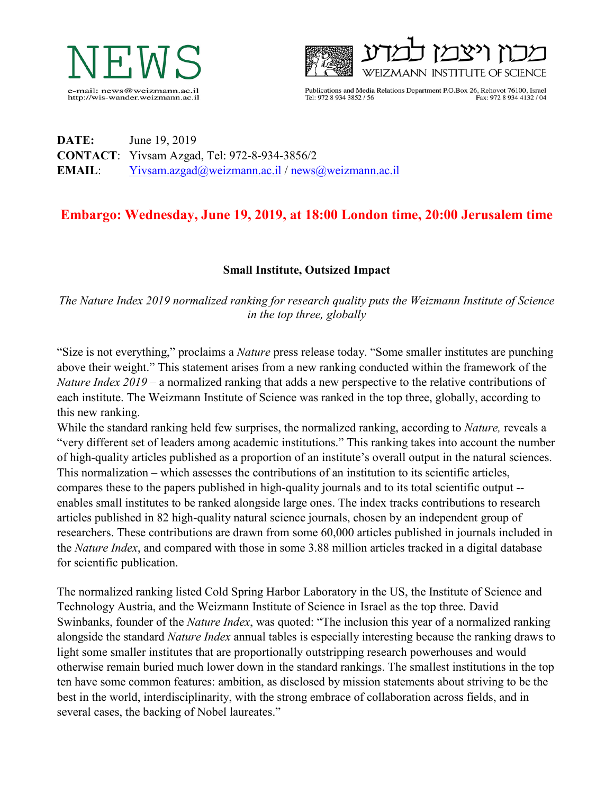



Publications and Media Relations Department P.O.Box 26, Rehovot 76100, Israel Tel: 972 8 934 3852 / 56 Fax: 972 8 934 4132 / 04

## **DATE:** June 19, 2019 **CONTACT**: Yivsam Azgad, Tel: 972-8-934-3856/2 **EMAIL**: [Yivsam.azgad@weizmann.ac.il](mailto:Yivsam.azgad@weizmann.ac.il) / [news@weizmann.ac.il](mailto:news@weizmann.ac.il)

## **Embargo: Wednesday, June 19, 2019, at 18:00 London time, 20:00 Jerusalem time**

## **Small Institute, Outsized Impact**

*The Nature Index 2019 normalized ranking for research quality puts the Weizmann Institute of Science in the top three, globally*

"Size is not everything," proclaims a *Nature* press release today. "Some smaller institutes are punching above their weight." This statement arises from a new ranking conducted within the framework of the *Nature Index 2019* – a normalized ranking that adds a new perspective to the relative contributions of each institute. The Weizmann Institute of Science was ranked in the top three, globally, according to this new ranking.

While the standard ranking held few surprises, the normalized ranking, according to *Nature,* reveals a "very different set of leaders among academic institutions." This ranking takes into account the number of high-quality articles published as a proportion of an institute's overall output in the natural sciences. This normalization – which assesses the contributions of an institution to its scientific articles, compares these to the papers published in high-quality journals and to its total scientific output - enables small institutes to be ranked alongside large ones. The index tracks contributions to research articles published in 82 high-quality natural science journals, chosen by an independent group of researchers. These contributions are drawn from some 60,000 articles published in journals included in the *Nature Index*, and compared with those in some 3.88 million articles tracked in a digital database for scientific publication.

The normalized ranking listed Cold Spring Harbor Laboratory in the US, the Institute of Science and Technology Austria, and the Weizmann Institute of Science in Israel as the top three. David Swinbanks, founder of the *Nature Index*, was quoted: "The inclusion this year of a normalized ranking alongside the standard *Nature Index* annual tables is especially interesting because the ranking draws to light some smaller institutes that are proportionally outstripping research powerhouses and would otherwise remain buried much lower down in the standard rankings. The smallest institutions in the top ten have some common features: ambition, as disclosed by mission statements about striving to be the best in the world, interdisciplinarity, with the strong embrace of collaboration across fields, and in several cases, the backing of Nobel laureates."